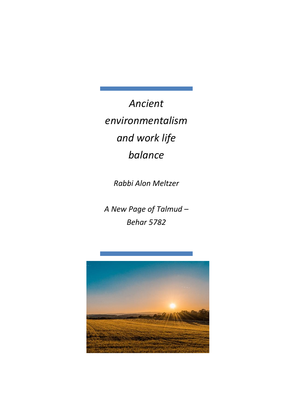*Ancient environmentalism and work life balance*

*Rabbi Alon Meltzer*

*A New Page of Talmud – Behar 5782*